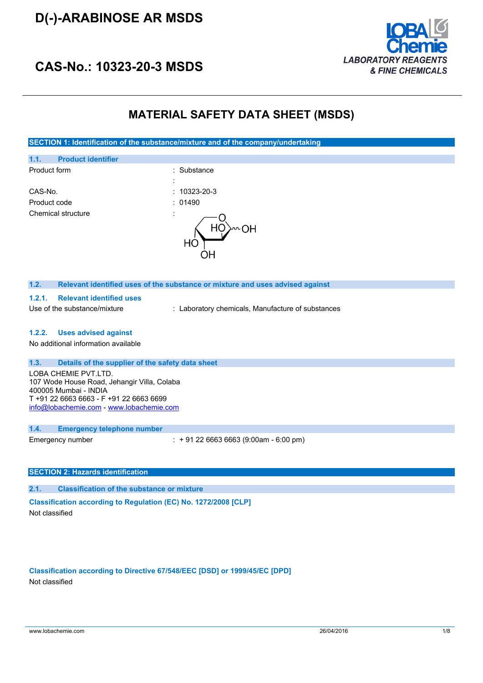## **D(-)-ARABINOSE AR MSDS**



## **CAS-No.: 10323-20-3 MSDS**

## **MATERIAL SAFETY DATA SHEET (MSDS)**

**SECTION 1: Identification of the substance/mixture and of the company/undertaking**



#### **1.2. Relevant identified uses of the substance or mixture and uses advised against**

#### **1.2.1. Relevant identified uses**

Use of the substance/mixture : Laboratory chemicals, Manufacture of substances

### **1.2.2. Uses advised against**

No additional information available

#### **1.3. Details of the supplier of the safety data sheet**

LOBA CHEMIE PVT.LTD. 107 Wode House Road, Jehangir Villa, Colaba 400005 Mumbai - INDIA T +91 22 6663 6663 - F +91 22 6663 6699 [info@lobachemie.com](mailto:info@lobachemie.com) - <www.lobachemie.com>

#### **1.4. Emergency telephone number**

Emergency number : + 91 22 6663 6663 (9:00am - 6:00 pm)

#### **SECTION 2: Hazards identification**

**2.1. Classification of the substance or mixture**

**Classification according to Regulation (EC) No. 1272/2008 [CLP]** Not classified

## **Classification according to Directive 67/548/EEC [DSD] or 1999/45/EC [DPD]** Not classified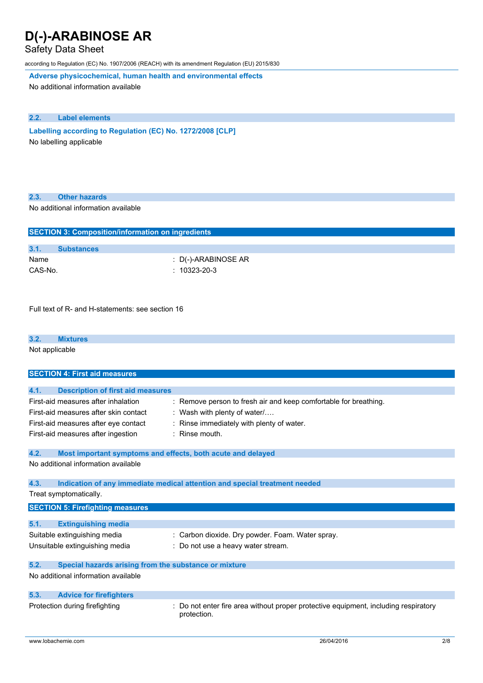## Safety Data Sheet

according to Regulation (EC) No. 1907/2006 (REACH) with its amendment Regulation (EU) 2015/830

**Adverse physicochemical, human health and environmental effects**

No additional information available

## **2.2. Label elements**

**Labelling according to** Regulation (EC) No. 1272/2008 [CLP] No labelling applicable

| 2.3.<br><b>Other hazards</b> |  |
|------------------------------|--|
|------------------------------|--|

No additional information available

| <b>SECTION 3: Composition/information on ingredients</b> |                     |  |
|----------------------------------------------------------|---------------------|--|
|                                                          |                     |  |
| 3.1.                                                     | <b>Substances</b>   |  |
| Name                                                     | : D(-)-ARABINOSE AR |  |
| CAS-No.                                                  | $: 10323 - 20 - 3$  |  |
|                                                          |                     |  |

Full text of R- and H-statements: see section 16

#### **3.2. Mixtures**

Not applicable

| <b>SECTION 4: First aid measures</b>                                         |                                                                                                  |
|------------------------------------------------------------------------------|--------------------------------------------------------------------------------------------------|
|                                                                              |                                                                                                  |
| <b>Description of first aid measures</b><br>4.1.                             |                                                                                                  |
| First-aid measures after inhalation<br>First-aid measures after skin contact | : Remove person to fresh air and keep comfortable for breathing.<br>: Wash with plenty of water/ |
| First-aid measures after eye contact                                         | Rinse immediately with plenty of water.                                                          |
|                                                                              |                                                                                                  |
| First-aid measures after ingestion                                           | $:$ Rinse mouth.                                                                                 |
| 4.2.<br>Most important symptoms and effects, both acute and delayed          |                                                                                                  |
| No additional information available                                          |                                                                                                  |
| 4.3.                                                                         | Indication of any immediate medical attention and special treatment needed                       |
| Treat symptomatically.                                                       |                                                                                                  |
|                                                                              |                                                                                                  |
| <b>SECTION 5: Firefighting measures</b>                                      |                                                                                                  |
|                                                                              |                                                                                                  |
| 5.1.<br><b>Extinguishing media</b>                                           |                                                                                                  |
| Suitable extinguishing media                                                 | : Carbon dioxide. Dry powder. Foam. Water spray.                                                 |
| Unsuitable extinguishing media                                               | Do not use a heavy water stream.                                                                 |
| 5.2.<br>Special hazards arising from the substance or mixture                |                                                                                                  |
| No additional information available                                          |                                                                                                  |
| 5.3.<br><b>Advice for firefighters</b>                                       |                                                                                                  |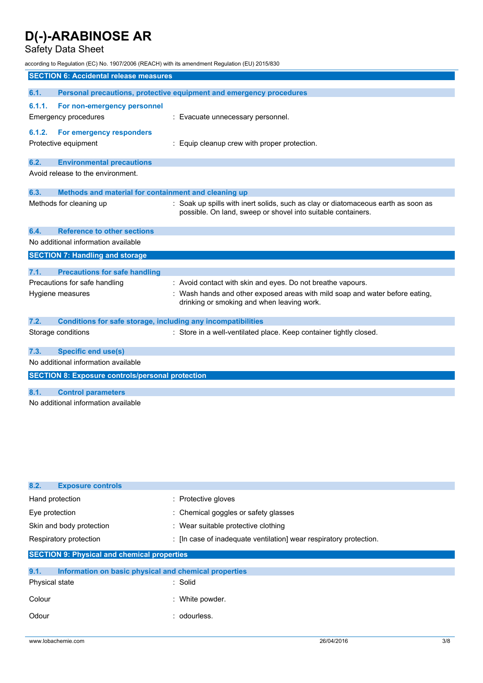## Safety Data Sheet

according to Regulation (EC) No. 1907/2006 (REACH) with its amendment Regulation (EU) 2015/830

|        | <b>SECTION 6: Accidental release measures</b>                       |                                                                                   |  |  |
|--------|---------------------------------------------------------------------|-----------------------------------------------------------------------------------|--|--|
|        |                                                                     |                                                                                   |  |  |
| 6.1.   |                                                                     | Personal precautions, protective equipment and emergency procedures               |  |  |
| 6.1.1. | For non-emergency personnel                                         |                                                                                   |  |  |
|        | <b>Emergency procedures</b>                                         | : Evacuate unnecessary personnel.                                                 |  |  |
|        |                                                                     |                                                                                   |  |  |
| 6.1.2. | For emergency responders                                            |                                                                                   |  |  |
|        | Protective equipment                                                | : Equip cleanup crew with proper protection.                                      |  |  |
|        |                                                                     |                                                                                   |  |  |
| 6.2.   | <b>Environmental precautions</b>                                    |                                                                                   |  |  |
|        | Avoid release to the environment.                                   |                                                                                   |  |  |
|        |                                                                     |                                                                                   |  |  |
| 6.3.   | Methods and material for containment and cleaning up                |                                                                                   |  |  |
|        | Methods for cleaning up                                             | : Soak up spills with inert solids, such as clay or diatomaceous earth as soon as |  |  |
|        |                                                                     | possible. On land, sweep or shovel into suitable containers.                      |  |  |
|        |                                                                     |                                                                                   |  |  |
| 6.4.   | <b>Reference to other sections</b>                                  |                                                                                   |  |  |
|        | No additional information available                                 |                                                                                   |  |  |
|        |                                                                     |                                                                                   |  |  |
|        | <b>SECTION 7: Handling and storage</b>                              |                                                                                   |  |  |
|        |                                                                     |                                                                                   |  |  |
| 7.1.   | <b>Precautions for safe handling</b>                                |                                                                                   |  |  |
|        | Precautions for safe handling                                       | : Avoid contact with skin and eyes. Do not breathe vapours.                       |  |  |
|        | Hygiene measures                                                    | : Wash hands and other exposed areas with mild soap and water before eating,      |  |  |
|        |                                                                     | drinking or smoking and when leaving work.                                        |  |  |
|        |                                                                     |                                                                                   |  |  |
| 7.2.   | <b>Conditions for safe storage, including any incompatibilities</b> |                                                                                   |  |  |
|        | Storage conditions                                                  | : Store in a well-ventilated place. Keep container tightly closed.                |  |  |
|        |                                                                     |                                                                                   |  |  |
| 7.3.   | <b>Specific end use(s)</b>                                          |                                                                                   |  |  |
|        | No additional information available                                 |                                                                                   |  |  |
|        |                                                                     |                                                                                   |  |  |
|        | <b>SECTION 8: Exposure controls/personal protection</b>             |                                                                                   |  |  |
| 8.1.   | <b>Control parameters</b>                                           |                                                                                   |  |  |
|        |                                                                     |                                                                                   |  |  |
|        | No additional information available                                 |                                                                                   |  |  |
|        |                                                                     |                                                                                   |  |  |

| 8.2.                                               | <b>Exposure controls</b>                              |                                                                  |  |
|----------------------------------------------------|-------------------------------------------------------|------------------------------------------------------------------|--|
| Hand protection                                    |                                                       | : Protective gloves                                              |  |
| Eye protection                                     |                                                       | : Chemical goggles or safety glasses                             |  |
|                                                    | Skin and body protection                              | : Wear suitable protective clothing                              |  |
|                                                    | Respiratory protection                                | : In case of inadequate ventilation wear respiratory protection. |  |
| <b>SECTION 9: Physical and chemical properties</b> |                                                       |                                                                  |  |
|                                                    |                                                       |                                                                  |  |
| 9.1.                                               | Information on basic physical and chemical properties |                                                                  |  |
| Physical state                                     |                                                       | : Solid                                                          |  |

| Colour | : White powder. |
|--------|-----------------|
| Odour  | odourless.      |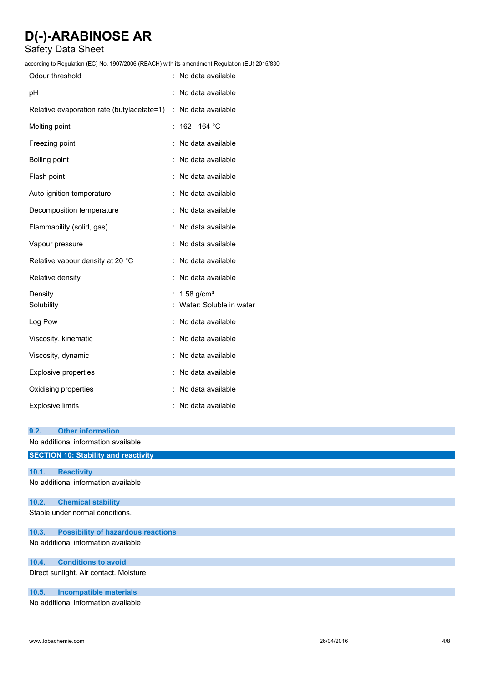## Safety Data Sheet

according to Regulation (EC) No. 1907/2006 (REACH) with its amendment Regulation (EU) 2015/830

| coluniy to Regulation (LO) No. 1907/2000 (REAGH) with its amenument Regulation (LO) 2019/050 |                            |
|----------------------------------------------------------------------------------------------|----------------------------|
| Odour threshold                                                                              | : No data available        |
| pН                                                                                           | : No data available        |
| Relative evaporation rate (butylacetate=1)                                                   | : No data available        |
| Melting point                                                                                | $: 162 - 164 °C$           |
| Freezing point                                                                               | : No data available        |
| <b>Boiling point</b>                                                                         | : No data available        |
| Flash point                                                                                  | : No data available        |
| Auto-ignition temperature                                                                    | : No data available        |
| Decomposition temperature                                                                    | : No data available        |
| Flammability (solid, gas)                                                                    | : No data available        |
| Vapour pressure                                                                              | : No data available        |
| Relative vapour density at 20 °C                                                             | : No data available        |
| Relative density                                                                             | : No data available        |
| Density                                                                                      | : $1.58$ g/cm <sup>3</sup> |
| Solubility                                                                                   | : Water: Soluble in water  |
| Log Pow                                                                                      | : No data available        |
| Viscosity, kinematic                                                                         | : No data available        |
| Viscosity, dynamic                                                                           | : No data available        |
| Explosive properties                                                                         | : No data available        |
| Oxidising properties                                                                         | : No data available        |
| <b>Explosive limits</b>                                                                      | : No data available        |
| 9.2.<br><b>Other information</b>                                                             |                            |
| No additional information available                                                          |                            |
| <b>SECTION 10: Stability and reactivity</b>                                                  |                            |
| 10.1.<br><b>Reactivity</b>                                                                   |                            |

No additional information available

### **10.2. Chemical stability**

Stable under normal conditions.

#### **10.3. Possibility of hazardous reactions**

No additional information available

#### **10.4. Conditions to avoid**

Direct sunlight. Air contact. Moisture.

### **10.5. Incompatible materials**

No additional information available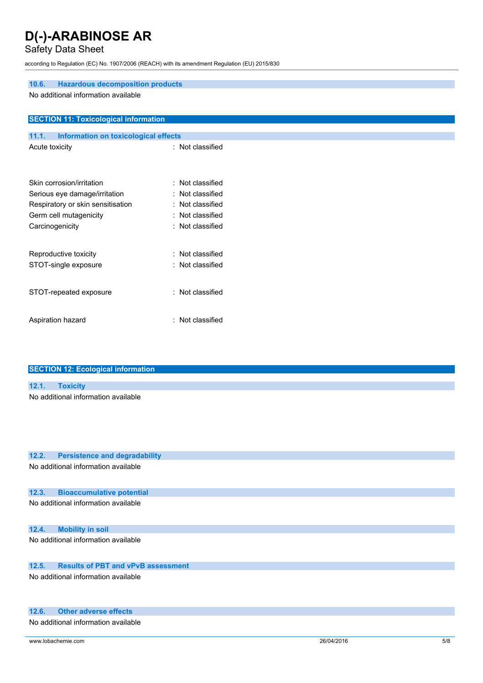## Safety Data Sheet

according to Regulation (EC) No. 1907/2006 (REACH) with its amendment Regulation (EU) 2015/830

| <b>Hazardous decomposition products</b><br>10.6.<br>No additional information available |                  |  |  |
|-----------------------------------------------------------------------------------------|------------------|--|--|
| <b>SECTION 11: Toxicological information</b>                                            |                  |  |  |
| Information on toxicological effects<br>11.1.                                           |                  |  |  |
| Acute toxicity                                                                          | : Not classified |  |  |
|                                                                                         |                  |  |  |
| Skin corrosion/irritation                                                               | : Not classified |  |  |
| Serious eye damage/irritation                                                           | : Not classified |  |  |
| Respiratory or skin sensitisation                                                       | : Not classified |  |  |
| Germ cell mutagenicity                                                                  | : Not classified |  |  |
| Carcinogenicity                                                                         | : Not classified |  |  |
| Reproductive toxicity                                                                   | : Not classified |  |  |
| STOT-single exposure                                                                    | : Not classified |  |  |
| STOT-repeated exposure                                                                  | : Not classified |  |  |
| Aspiration hazard                                                                       | : Not classified |  |  |
|                                                                                         |                  |  |  |

| <b>SECTION 12: Ecological information</b> |
|-------------------------------------------|
|                                           |
| 12.1. Toxicity                            |
| No additional information available       |
|                                           |
|                                           |
|                                           |

## **12.2. Persistence and degradability**

No additional information available

## **12.3. Bioaccumulative potential**

No additional information available

## **12.4. Mobility in soil**

No additional information available

## **12.5. Results of PBT and vPvB assessment**

No additional information available

## **12.6. Other adverse effects**

No additional information available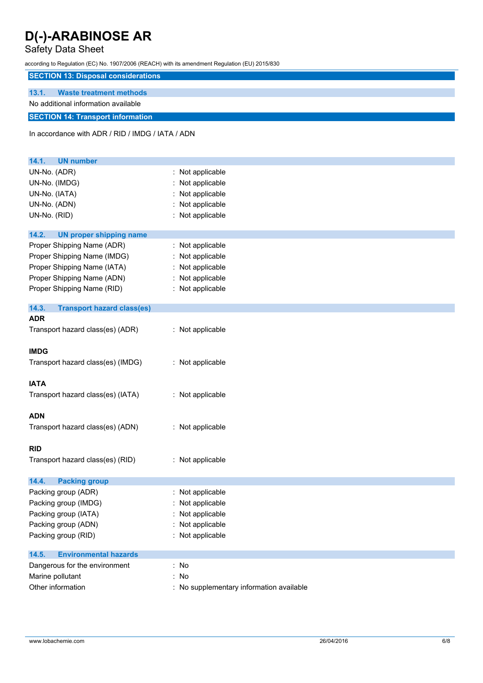## Safety Data Sheet

according to Regulation (EC) No. 1907/2006 (REACH) with its amendment Regulation (EU) 2015/830

## **SECTION 13: Disposal considerations**

## **13.1. Waste treatment methods**

## No additional information available

## **SECTION 14: Transport information**

In accordance with ADR / RID / IMDG / IATA / ADN

| <b>UN number</b><br>14.1.                  |                                          |
|--------------------------------------------|------------------------------------------|
| UN-No. (ADR)                               | : Not applicable                         |
| UN-No. (IMDG)                              | : Not applicable                         |
| UN-No. (IATA)                              | Not applicable                           |
| UN-No. (ADN)                               | : Not applicable                         |
| UN-No. (RID)                               | : Not applicable                         |
|                                            |                                          |
| 14.2.<br><b>UN proper shipping name</b>    |                                          |
| Proper Shipping Name (ADR)                 | : Not applicable                         |
| Proper Shipping Name (IMDG)                | : Not applicable                         |
| Proper Shipping Name (IATA)                | : Not applicable                         |
| Proper Shipping Name (ADN)                 | : Not applicable                         |
| Proper Shipping Name (RID)                 | : Not applicable                         |
|                                            |                                          |
| 14.3.<br><b>Transport hazard class(es)</b> |                                          |
| <b>ADR</b>                                 |                                          |
| Transport hazard class(es) (ADR)           | : Not applicable                         |
|                                            |                                          |
| <b>IMDG</b>                                |                                          |
| Transport hazard class(es) (IMDG)          | : Not applicable                         |
|                                            |                                          |
| <b>IATA</b>                                |                                          |
| Transport hazard class(es) (IATA)          | : Not applicable                         |
|                                            |                                          |
| <b>ADN</b>                                 |                                          |
| Transport hazard class(es) (ADN)           | : Not applicable                         |
|                                            |                                          |
| <b>RID</b>                                 |                                          |
| Transport hazard class(es) (RID)           | : Not applicable                         |
|                                            |                                          |
| 14.4.<br><b>Packing group</b>              |                                          |
| Packing group (ADR)                        | : Not applicable                         |
| Packing group (IMDG)                       | : Not applicable                         |
| Packing group (IATA)                       | : Not applicable                         |
| Packing group (ADN)                        | : Not applicable                         |
| Packing group (RID)                        | : Not applicable                         |
| <b>Environmental hazards</b><br>14.5.      |                                          |
| Dangerous for the environment              | : No                                     |
| Marine pollutant                           | : No                                     |
| Other information                          | : No supplementary information available |
|                                            |                                          |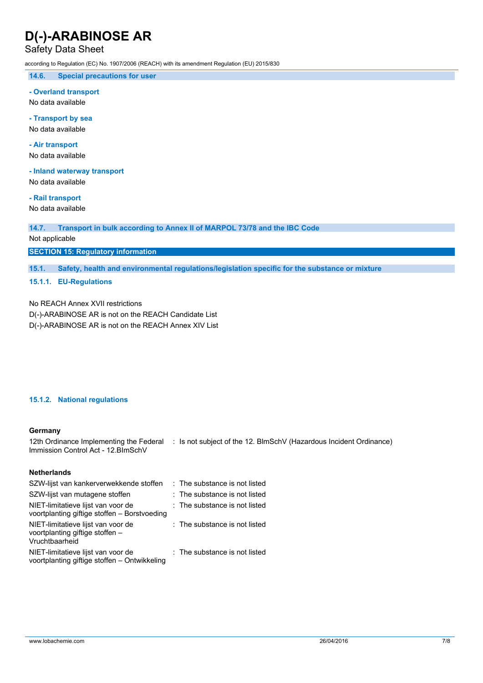## Safety Data Sheet

according to Regulation (EC) No. 1907/2006 (REACH) with its amendment Regulation (EU) 2015/830

**14.6. Special precautions for user**

#### **- Overland transport**

No data available

### **- Transport by sea**

No data available

## **- Air transport**

No data available

## **- Inland waterway transport**

No data available

## **- Rail transport**

No data available

**14.7. Transport in bulk according to Annex II of MARPOL 73/78 and the IBC Code**

## Not applicable

### **SECTION 15: Regulatory information**

**15.1. Safety, health and environmental regulations/legislation specific for the substance or mixture**

## **15.1.1. EU-Regulations**

No REACH Annex XVII restrictions

D(-)-ARABINOSE AR is not on the REACH Candidate List D(-)-ARABINOSE AR is not on the REACH Annex XIV List

## **15.1.2. National regulations**

#### **Germany**

12th Ordinance Implementing the Federal : Is not subject of the 12. BlmSchV (Hazardous Incident Ordinance) Immission Control Act - 12.BImSchV

### **Netherlands**

| SZW-lijst van kankerverwekkende stoffen                                                 | : The substance is not listed            |
|-----------------------------------------------------------------------------------------|------------------------------------------|
| SZW-lijst van mutagene stoffen                                                          | : The substance is not listed            |
| NIET-limitatieve lijst van voor de<br>voortplanting giftige stoffen - Borstvoeding      | $\therefore$ The substance is not listed |
| NIET-limitatieve lijst van voor de<br>voortplanting giftige stoffen -<br>Vruchtbaarheid | : The substance is not listed            |
| NIET-limitatieve lijst van voor de<br>voortplanting giftige stoffen - Ontwikkeling      | : The substance is not listed            |